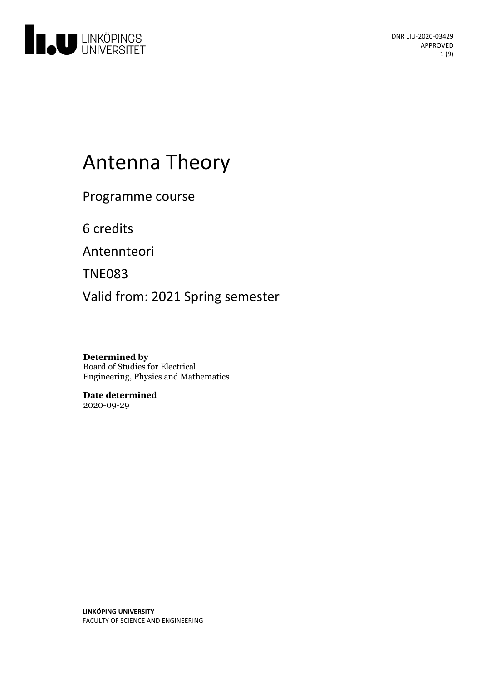

# Antenna Theory

Programme course

6 credits

Antennteori

TNE083

Valid from: 2021 Spring semester

**Determined by** Board of Studies for Electrical Engineering, Physics and Mathematics

**Date determined** 2020-09-29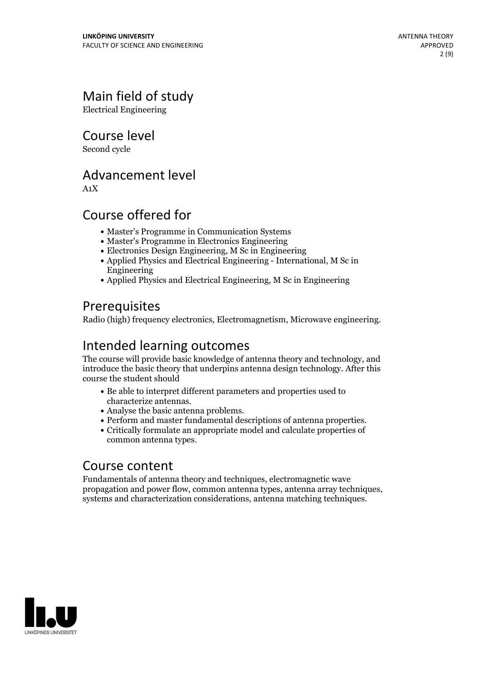# Main field of study

Electrical Engineering

Course level

Second cycle

### Advancement level

A1X

# Course offered for

- Master's Programme in Communication Systems
- Master's Programme in Electronics Engineering
- Electronics Design Engineering, M Sc in Engineering
- Applied Physics and Electrical Engineering International, M Sc in Engineering
- Applied Physics and Electrical Engineering, M Sc in Engineering

# **Prerequisites**

Radio (high) frequency electronics, Electromagnetism, Microwave engineering.

# Intended learning outcomes

The course will provide basic knowledge of antenna theory and technology, and introduce the basic theory that underpins antenna design technology. After this course the student should

- Be able to interpret different parameters and properties used to
- 
- characterize antennas. Analyse the basic antenna problems. Perform and master fundamental descriptions of antenna properties. Critically formulate an appropriate model and calculate properties of
- common antenna types.

### Course content

Fundamentals of antenna theory and techniques, electromagnetic wave propagation and power flow, common antenna types, antenna array techniques, systems and characterization considerations, antenna matching techniques.

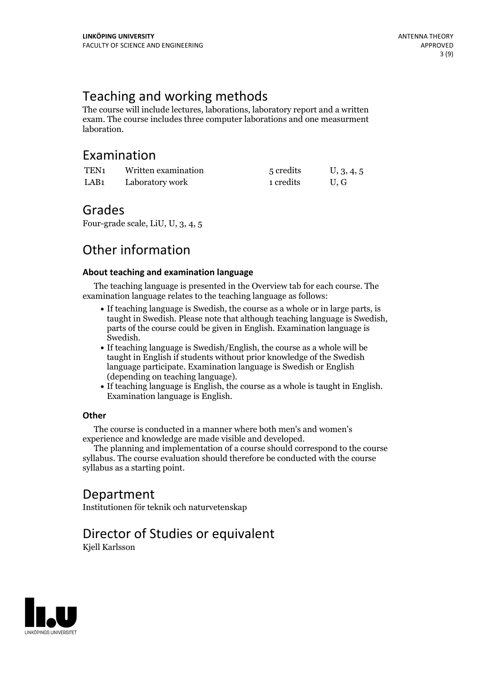# Teaching and working methods

The course will include lectures, laborations, laboratory report and a written exam. The course includes three computer laborations and one measurment laboration.

### Examination

| TEN <sub>1</sub> | Written examination | 5 credits | U, 3, 4, 5 |
|------------------|---------------------|-----------|------------|
| LAB <sub>1</sub> | Laboratory work     | 1 credits | U.G        |

### Grades

Four-grade scale, LiU, U, 3, 4, 5

# Other information

#### **About teaching and examination language**

The teaching language is presented in the Overview tab for each course. The examination language relates to the teaching language as follows:

- If teaching language is Swedish, the course as a whole or in large parts, is taught in Swedish. Please note that although teaching language is Swedish, parts of the course could be given in English. Examination language is
- Swedish.<br>• If teaching language is Swedish/English, the course as a whole will be taught in English if students without prior knowledge of the Swedish language participate. Examination language is Swedish or English
- $\bullet$  If teaching language is English, the course as a whole is taught in English. Examination language is English.

#### **Other**

The course is conducted in a manner where both men's and women's

experience and knowledge are made visible and developed. The planning and implementation of <sup>a</sup> course should correspond to the course syllabus. The course evaluation should therefore be conducted with the course syllabus as a starting point.

### Department

Institutionen för teknik och naturvetenskap

# Director of Studies or equivalent

Kjell Karlsson

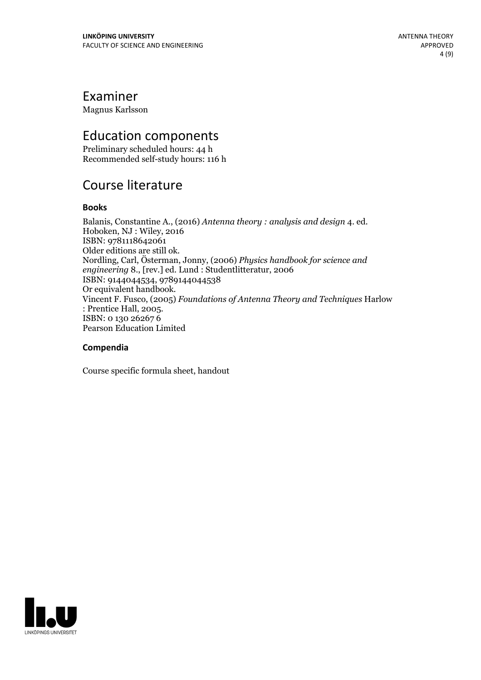### Examiner

Magnus Karlsson

# Education components

Preliminary scheduled hours: 44 h Recommended self-study hours: 116 h

# Course literature

#### **Books**

Balanis, Constantine A., (2016) *Antenna theory : analysis and design* 4. ed. Hoboken, NJ : Wiley, <sup>2016</sup> ISBN: 9781118642061<br>Older editions are still ok. Older editions are still ok. Nordling, Carl, Österman, Jonny, (2006) *Physics handbook for science and engineering* 8., [rev.] ed. Lund : Studentlitteratur, 2006 ISBN: 9144044534, 9789144044538 Or equivalent handbook. Vincent F. Fusco, (2005) *Foundations of Antenna Theory and Techniques* Harlow : Prentice Hall, 2005. ISBN: <sup>0</sup> <sup>130</sup> <sup>26267</sup> <sup>6</sup> Pearson Education Limited

#### **Compendia**

Course specific formula sheet, handout

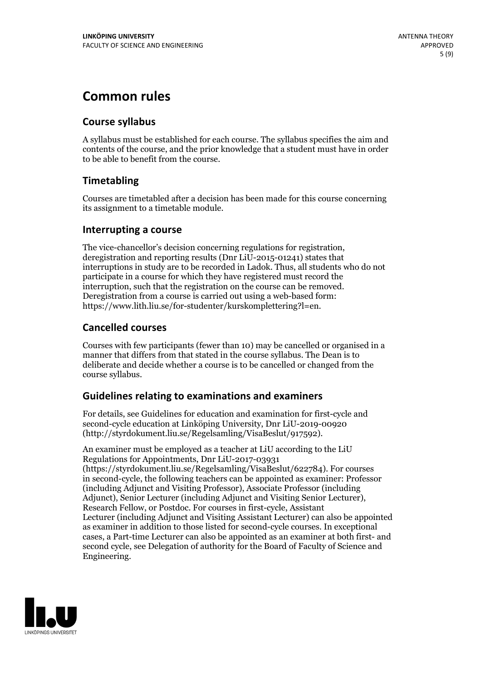# **Common rules**

### **Course syllabus**

A syllabus must be established for each course. The syllabus specifies the aim and contents of the course, and the prior knowledge that a student must have in order to be able to benefit from the course.

### **Timetabling**

Courses are timetabled after a decision has been made for this course concerning its assignment to a timetable module.

#### **Interrupting a course**

The vice-chancellor's decision concerning regulations for registration, deregistration and reporting results (Dnr LiU-2015-01241) states that interruptions in study are to be recorded in Ladok. Thus, all students who do not participate in a course for which they have registered must record the interruption, such that the registration on the course can be removed. Deregistration from <sup>a</sup> course is carried outusing <sup>a</sup> web-based form: https://www.lith.liu.se/for-studenter/kurskomplettering?l=en.

### **Cancelled courses**

Courses with few participants (fewer than 10) may be cancelled or organised in a manner that differs from that stated in the course syllabus. The Dean is to deliberate and decide whether a course is to be cancelled or changed from the course syllabus.

### **Guidelines relatingto examinations and examiners**

For details, see Guidelines for education and examination for first-cycle and second-cycle education at Linköping University, Dnr LiU-2019-00920 (http://styrdokument.liu.se/Regelsamling/VisaBeslut/917592).

An examiner must be employed as a teacher at LiU according to the LiU Regulations for Appointments, Dnr LiU-2017-03931 (https://styrdokument.liu.se/Regelsamling/VisaBeslut/622784). For courses in second-cycle, the following teachers can be appointed as examiner: Professor (including Adjunct and Visiting Professor), Associate Professor (including Adjunct), Senior Lecturer (including Adjunct and Visiting Senior Lecturer), Research Fellow, or Postdoc. For courses in first-cycle, Assistant Lecturer (including Adjunct and Visiting Assistant Lecturer) can also be appointed as examiner in addition to those listed for second-cycle courses. In exceptional cases, a Part-time Lecturer can also be appointed as an examiner at both first- and second cycle, see Delegation of authority for the Board of Faculty of Science and Engineering.

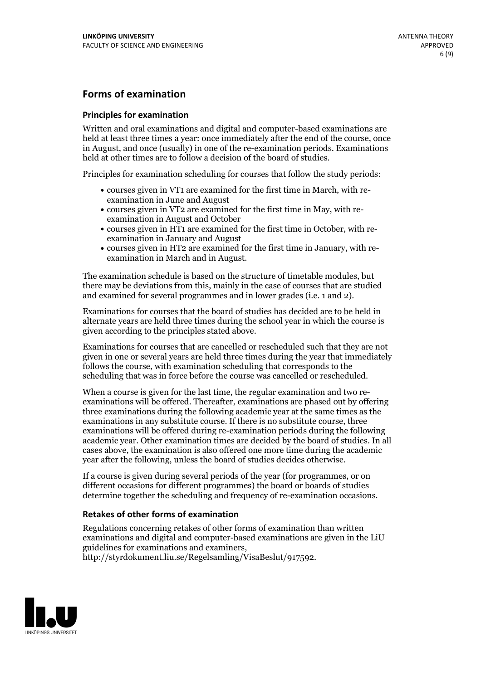### **Forms of examination**

#### **Principles for examination**

Written and oral examinations and digital and computer-based examinations are held at least three times a year: once immediately after the end of the course, once in August, and once (usually) in one of the re-examination periods. Examinations held at other times are to follow a decision of the board of studies.

Principles for examination scheduling for courses that follow the study periods:

- courses given in VT1 are examined for the first time in March, with re-examination in June and August
- courses given in VT2 are examined for the first time in May, with re-examination in August and October
- courses given in HT1 are examined for the first time in October, with re-examination in January and August
- courses given in HT2 are examined for the first time in January, with re-examination in March and in August.

The examination schedule is based on the structure of timetable modules, but there may be deviations from this, mainly in the case of courses that are studied and examined for several programmes and in lower grades (i.e. 1 and 2).

Examinations for courses that the board of studies has decided are to be held in alternate years are held three times during the school year in which the course is given according to the principles stated above.

Examinations for courses that are cancelled orrescheduled such that they are not given in one or several years are held three times during the year that immediately follows the course, with examination scheduling that corresponds to the scheduling that was in force before the course was cancelled or rescheduled.

When a course is given for the last time, the regular examination and two re-<br>examinations will be offered. Thereafter, examinations are phased out by offering three examinations during the following academic year at the same times as the examinations in any substitute course. If there is no substitute course, three examinations will be offered during re-examination periods during the following academic year. Other examination times are decided by the board of studies. In all cases above, the examination is also offered one more time during the academic year after the following, unless the board of studies decides otherwise.

If a course is given during several periods of the year (for programmes, or on different occasions for different programmes) the board or boards of studies determine together the scheduling and frequency of re-examination occasions.

#### **Retakes of other forms of examination**

Regulations concerning retakes of other forms of examination than written examinations and digital and computer-based examinations are given in the LiU guidelines for examinations and examiners, http://styrdokument.liu.se/Regelsamling/VisaBeslut/917592.

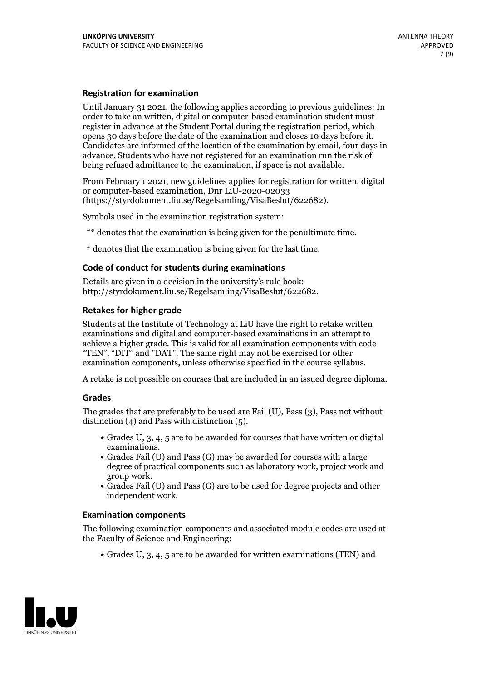#### **Registration for examination**

Until January 31 2021, the following applies according to previous guidelines: In order to take an written, digital or computer-based examination student must register in advance at the Student Portal during the registration period, which Candidates are informed of the location of the examination by email, four days in advance. Students who have not registered for an examination run the risk of being refused admittance to the examination, if space is not available.

From February 1 2021, new guidelines applies for registration for written, digital or computer-based examination, Dnr LiU-2020-02033 (https://styrdokument.liu.se/Regelsamling/VisaBeslut/622682).

Symbols used in the examination registration system:

\*\* denotes that the examination is being given for the penultimate time.

\* denotes that the examination is being given for the last time.

#### **Code of conduct for students during examinations**

Details are given in a decision in the university's rule book: http://styrdokument.liu.se/Regelsamling/VisaBeslut/622682.

#### **Retakes for higher grade**

Students at the Institute of Technology at LiU have the right to retake written examinations and digital and computer-based examinations in an attempt to achieve a higher grade. This is valid for all examination components with code "TEN", "DIT" and "DAT". The same right may not be exercised for other examination components, unless otherwise specified in the course syllabus.

A retake is not possible on courses that are included in an issued degree diploma.

#### **Grades**

The grades that are preferably to be used are Fail (U), Pass (3), Pass not without distinction  $(4)$  and Pass with distinction  $(5)$ .

- Grades U, 3, 4, 5 are to be awarded for courses that have written or digital examinations.<br>• Grades Fail (U) and Pass (G) may be awarded for courses with a large
- degree of practical components such as laboratory work, project work and
- $\bullet$  Grades Fail (U) and Pass (G) are to be used for degree projects and other independent work.

#### **Examination components**

The following examination components and associated module codes are used at the Faculty of Science and Engineering:

Grades U, 3, 4, 5 are to be awarded for written examinations (TEN) and

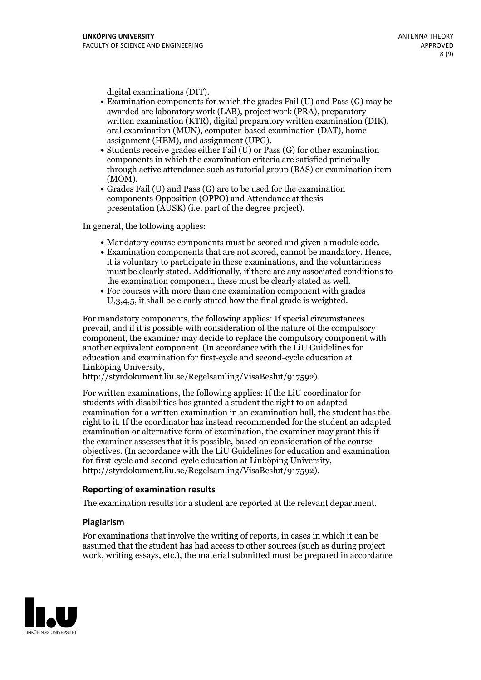- digital examinations (DIT).<br>• Examination components for which the grades Fail (U) and Pass (G) may be awarded are laboratory work (LAB), project work (PRA), preparatory written examination (KTR), digital preparatory written examination (DIK), oral examination (MUN), computer-based examination (DAT), home
- assignment (HEM), and assignment (UPG).<br>• Students receive grades either Fail (U) or Pass (G) for other examination components in which the examination criteria are satisfied principally through active attendance such as tutorial group (BAS) or examination item
- (MOM).<br>• Grades Fail (U) and Pass (G) are to be used for the examination components Opposition (OPPO) and Attendance at thesis presentation (AUSK) (i.e. part of the degree project).

In general, the following applies:

- 
- Mandatory course components must be scored and given <sup>a</sup> module code. Examination components that are not scored, cannot be mandatory. Hence, it is voluntary to participate in these examinations, and the voluntariness must be clearly stated. Additionally, if there are any associated conditions to the examination component, these must be clearly stated as well.<br>• For courses with more than one examination component with grades
- U,3,4,5, it shall be clearly stated how the final grade is weighted.

For mandatory components, the following applies: If special circumstances prevail, and if it is possible with consideration of the nature ofthe compulsory component, the examiner may decide to replace the compulsory component with another equivalent component. (In accordance with the LiU Guidelines for education and examination for first-cycle and second-cycle education at Linköping University, http://styrdokument.liu.se/Regelsamling/VisaBeslut/917592).

For written examinations, the following applies: If the LiU coordinator for students with disabilities has granted a student the right to an adapted examination for a written examination in an examination hall, the student has the right to it. If the coordinator has instead recommended for the student an adapted examination or alternative form of examination, the examiner may grant this if the examiner assesses that it is possible, based on consideration of the course objectives. (In accordance with the LiU Guidelines for education and examination for first-cycle and second-cycle education at Linköping University, http://styrdokument.liu.se/Regelsamling/VisaBeslut/917592).

#### **Reporting of examination results**

The examination results for a student are reported at the relevant department.

#### **Plagiarism**

For examinations that involve the writing of reports, in cases in which it can be assumed that the student has had access to other sources (such as during project work, writing essays, etc.), the material submitted must be prepared in accordance